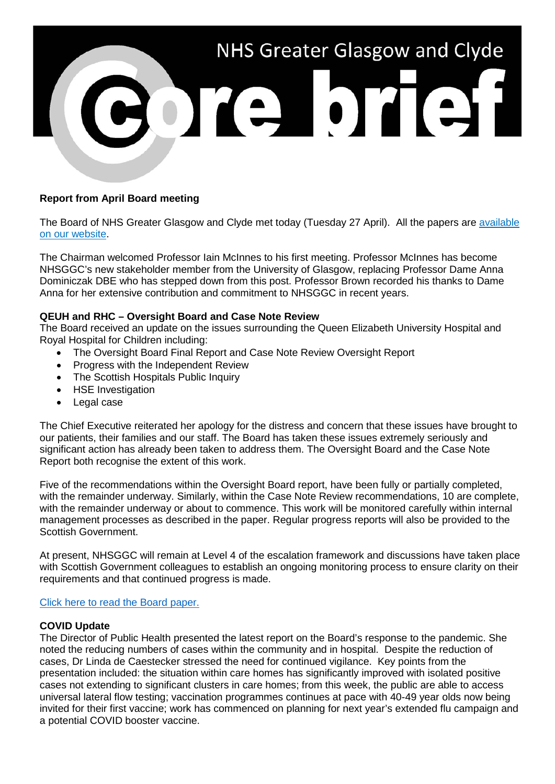

# **Report from April Board meeting**

The Board of NHS Greater Glasgow and Clyde met today (Tuesday 27 April). All the papers are [available](https://www.nhsggc.org.uk/about-us/nhsggc-board/board-meetings-papers-reports/papers/2021/)  [on our website.](https://www.nhsggc.org.uk/about-us/nhsggc-board/board-meetings-papers-reports/papers/2021/)

The Chairman welcomed Professor Iain McInnes to his first meeting. Professor McInnes has become NHSGGC's new stakeholder member from the University of Glasgow, replacing Professor Dame Anna Dominiczak DBE who has stepped down from this post. Professor Brown recorded his thanks to Dame Anna for her extensive contribution and commitment to NHSGGC in recent years.

# **QEUH and RHC – Oversight Board and Case Note Review**

The Board received an update on the issues surrounding the Queen Elizabeth University Hospital and Royal Hospital for Children including:

- The Oversight Board Final Report and Case Note Review Oversight Report
- Progress with the Independent Review
- The Scottish Hospitals Public Inquiry
- HSE Investigation
- Legal case

The Chief Executive reiterated her apology for the distress and concern that these issues have brought to our patients, their families and our staff. The Board has taken these issues extremely seriously and significant action has already been taken to address them. The Oversight Board and the Case Note Report both recognise the extent of this work.

Five of the recommendations within the Oversight Board report, have been fully or partially completed, with the remainder underway. Similarly, within the Case Note Review recommendations, 10 are complete, with the remainder underway or about to commence. This work will be monitored carefully within internal management processes as described in the paper. Regular progress reports will also be provided to the Scottish Government.

At present, NHSGGC will remain at Level 4 of the escalation framework and discussions have taken place with Scottish Government colleagues to establish an ongoing monitoring process to ensure clarity on their requirements and that continued progress is made.

#### [Click here to read the Board paper.](https://www.nhsggc.org.uk/media/266503/nhsggc_board_paper_2021-04-27_item-08_paper-21-11_qeuh-update.pdf)

# **COVID Update**

The Director of Public Health presented the latest report on the Board's response to the pandemic. She noted the reducing numbers of cases within the community and in hospital. Despite the reduction of cases, Dr Linda de Caestecker stressed the need for continued vigilance. Key points from the presentation included: the situation within care homes has significantly improved with isolated positive cases not extending to significant clusters in care homes; from this week, the public are able to access universal lateral flow testing; vaccination programmes continues at pace with 40-49 year olds now being invited for their first vaccine; work has commenced on planning for next year's extended flu campaign and a potential COVID booster vaccine.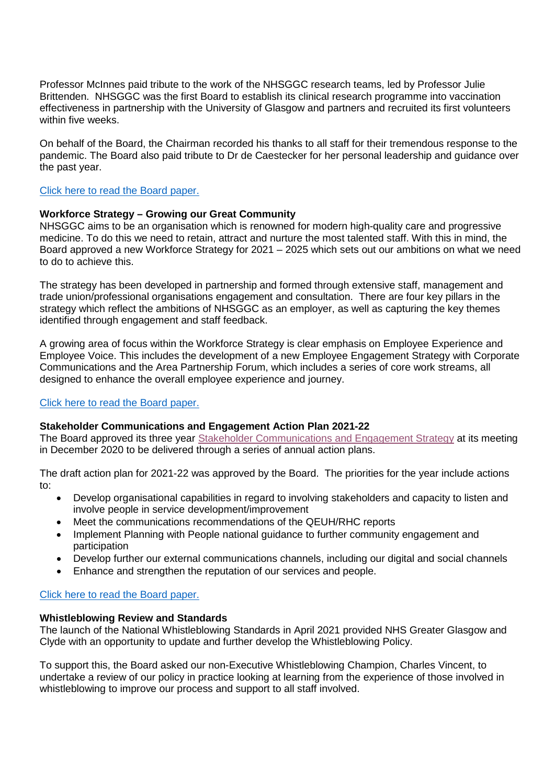Professor McInnes paid tribute to the work of the NHSGGC research teams, led by Professor Julie Brittenden. NHSGGC was the first Board to establish its clinical research programme into vaccination effectiveness in partnership with the University of Glasgow and partners and recruited its first volunteers within five weeks.

On behalf of the Board, the Chairman recorded his thanks to all staff for their tremendous response to the pandemic. The Board also paid tribute to Dr de Caestecker for her personal leadership and guidance over the past year.

### [Click here to read the Board paper.](https://www.nhsggc.org.uk/media/266504/nhsggc_board_paper_2021-04-27_item-09_paper-21-12_covid-19-update.pdf)

# **Workforce Strategy – Growing our Great Community**

NHSGGC aims to be an organisation which is renowned for modern high-quality care and progressive medicine. To do this we need to retain, attract and nurture the most talented staff. With this in mind, the Board approved a new Workforce Strategy for 2021 – 2025 which sets out our ambitions on what we need to do to achieve this.

The strategy has been developed in partnership and formed through extensive staff, management and trade union/professional organisations engagement and consultation. There are four key pillars in the strategy which reflect the ambitions of NHSGGC as an employer, as well as capturing the key themes identified through engagement and staff feedback.

A growing area of focus within the Workforce Strategy is clear emphasis on Employee Experience and Employee Voice. This includes the development of a new Employee Engagement Strategy with Corporate Communications and the Area Partnership Forum, which includes a series of core work streams, all designed to enhance the overall employee experience and journey.

#### [Click here to read the Board paper.](https://www.nhsggc.org.uk/media/266508/nhsggc_board_paper_2021-04-27_item-13_paper-21-16_workforce-strategy-2021-2025.pdf)

#### **Stakeholder Communications and Engagement Action Plan 2021-22**

The Board approved its three year [Stakeholder Communications and Engagement Strategy](https://www.nhsggc.org.uk/media/264466/comms_engagement_strategy.pdf) at its meeting in December 2020 to be delivered through a series of annual action plans.

The draft action plan for 2021-22 was approved by the Board. The priorities for the year include actions to:

- Develop organisational capabilities in regard to involving stakeholders and capacity to listen and involve people in service development/improvement
- Meet the communications recommendations of the QEUH/RHC reports
- Implement Planning with People national guidance to further community engagement and participation
- Develop further our external communications channels, including our digital and social channels
- Enhance and strengthen the reputation of our services and people.

#### [Click here to read the Board paper.](https://www.nhsggc.org.uk/media/266509/nhsggc_board_paper_2021-04-27_item-14_paper-21-17_stakeholder-communications.pdf)

### **Whistleblowing Review and Standards**

The launch of the National Whistleblowing Standards in April 2021 provided NHS Greater Glasgow and Clyde with an opportunity to update and further develop the Whistleblowing Policy.

To support this, the Board asked our non-Executive Whistleblowing Champion, Charles Vincent, to undertake a review of our policy in practice looking at learning from the experience of those involved in whistleblowing to improve our process and support to all staff involved.